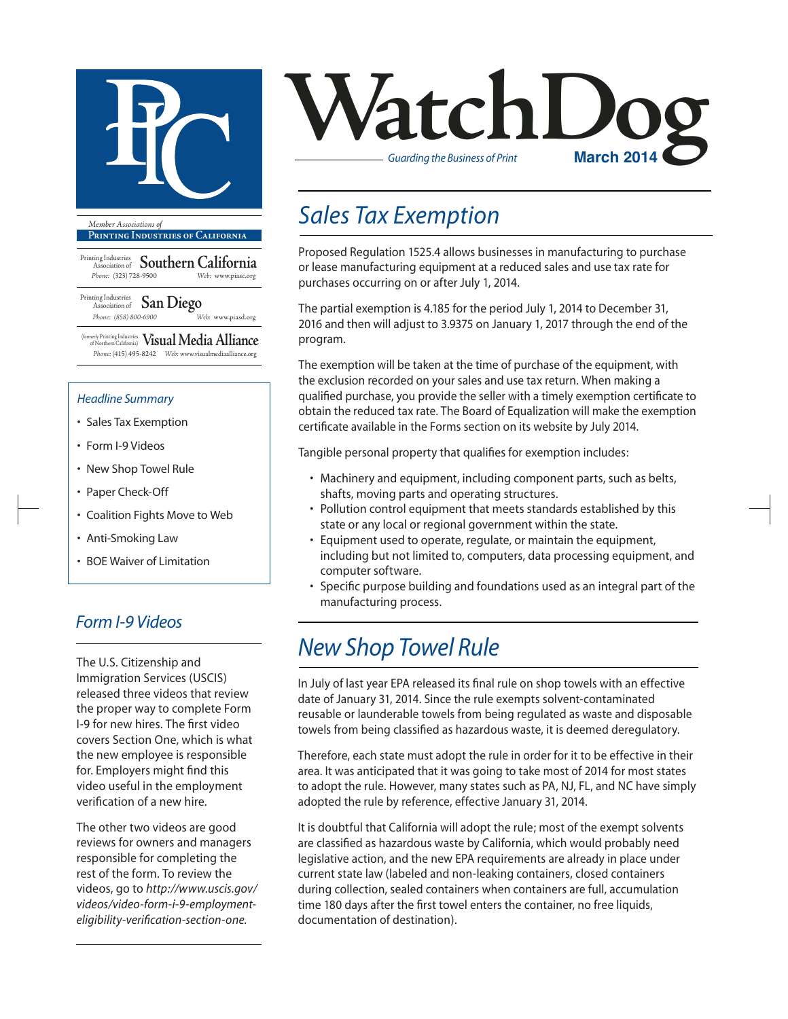

**Printing Industries of California**

Printing Industries Association of **Southern California** *Phone:* (323) 728-9500 *Web:* www.piasc.org

Printing Industries Association of **San Diego** *Phone: (858) 800-6900 Web:* www.piasd.org

(formerly Printing Industries of Northern California) **Visual Media Alliance** *Phone:* (415) 495-8242 *Web:* www.visualmediaalliance.org

#### *Headline Summary*

- Sales Tax Exemption
- Form I-9 Videos
- New Shop Towel Rule
- Paper Check-Off
- Coalition Fights Move to Web
- Anti-Smoking Law
- BOE Waiver of Limitation

### *Form I-9 Videos*

The U.S. Citizenship and Immigration Services (USCIS) released three videos that review the proper way to complete Form I-9 for new hires. The first video covers Section One, which is what the new employee is responsible for. Employers might find this video useful in the employment verification of a new hire.

The other two videos are good reviews for owners and managers responsible for completing the rest of the form. To review the videos, go to *http://www.uscis.gov/ videos/video-form-i-9-employmenteligibility-verification-section-one.*



## *Sales Tax Exemption*

Proposed Regulation 1525.4 allows businesses in manufacturing to purchase or lease manufacturing equipment at a reduced sales and use tax rate for purchases occurring on or after July 1, 2014.

The partial exemption is 4.185 for the period July 1, 2014 to December 31, 2016 and then will adjust to 3.9375 on January 1, 2017 through the end of the program.

The exemption will be taken at the time of purchase of the equipment, with the exclusion recorded on your sales and use tax return. When making a qualified purchase, you provide the seller with a timely exemption certificate to obtain the reduced tax rate. The Board of Equalization will make the exemption certificate available in the Forms section on its website by July 2014.

Tangible personal property that qualifies for exemption includes:

- Machinery and equipment, including component parts, such as belts, shafts, moving parts and operating structures.
- Pollution control equipment that meets standards established by this state or any local or regional government within the state.
- Equipment used to operate, regulate, or maintain the equipment, including but not limited to, computers, data processing equipment, and computer software.
- Specific purpose building and foundations used as an integral part of the manufacturing process.

## *New Shop Towel Rule*

In July of last year EPA released its final rule on shop towels with an effective date of January 31, 2014. Since the rule exempts solvent-contaminated reusable or launderable towels from being regulated as waste and disposable towels from being classified as hazardous waste, it is deemed deregulatory.

Therefore, each state must adopt the rule in order for it to be effective in their area. It was anticipated that it was going to take most of 2014 for most states to adopt the rule. However, many states such as PA, NJ, FL, and NC have simply adopted the rule by reference, effective January 31, 2014.

It is doubtful that California will adopt the rule; most of the exempt solvents are classified as hazardous waste by California, which would probably need legislative action, and the new EPA requirements are already in place under current state law (labeled and non-leaking containers, closed containers during collection, sealed containers when containers are full, accumulation time 180 days after the first towel enters the container, no free liquids, documentation of destination).